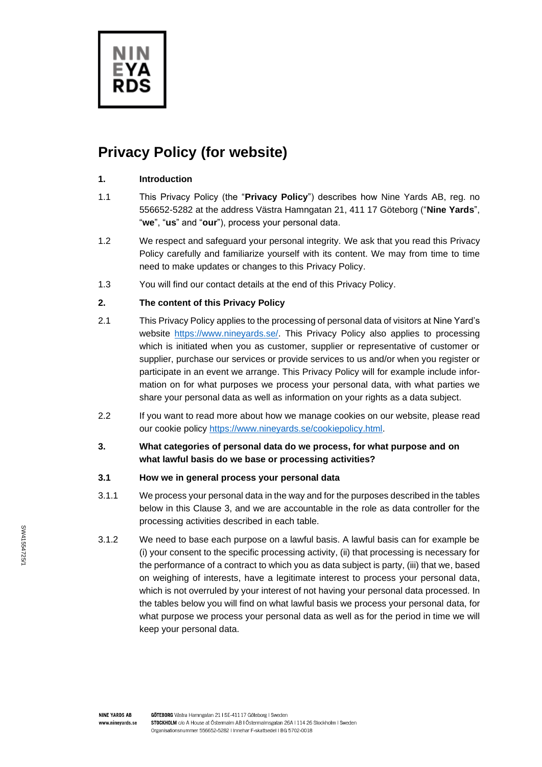

# **Privacy Policy (for website)**

## **1. Introduction**

- 1.1 This Privacy Policy (the "**Privacy Policy**") describes how Nine Yards AB, reg. no 556652-5282 at the address Västra Hamngatan 21, 411 17 Göteborg ("**Nine Yards**", "**we**", "**us**" and "**our**"), process your personal data.
- 1.2 We respect and safeguard your personal integrity. We ask that you read this Privacy Policy carefully and familiarize yourself with its content. We may from time to time need to make updates or changes to this Privacy Policy.
- 1.3 You will find our contact details at the end of this Privacy Policy.

## **2. The content of this Privacy Policy**

- 2.1 This Privacy Policy applies to the processing of personal data of visitors at Nine Yard's website [https://www.nineyards.se/.](https://www.nineyards.se/) This Privacy Policy also applies to processing which is initiated when you as customer, supplier or representative of customer or supplier, purchase our services or provide services to us and/or when you register or participate in an event we arrange. This Privacy Policy will for example include information on for what purposes we process your personal data, with what parties we share your personal data as well as information on your rights as a data subject.
- 2.2 If you want to read more about how we manage cookies on our website, please read our cookie policy [https://www.nineyards.se/cookiepolicy.html.](https://www.nineyards.se/cookiepolicy.html)
- **3. What categories of personal data do we process, for what purpose and on what lawful basis do we base or processing activities?**
- **3.1 How we in general process your personal data**
- 3.1.1 We process your personal data in the way and for the purposes described in the tables below in this Clause 3, and we are accountable in the role as data controller for the processing activities described in each table.
- 3.1.2 We need to base each purpose on a lawful basis. A lawful basis can for example be (i) your consent to the specific processing activity, (ii) that processing is necessary for the performance of a contract to which you as data subject is party, (iii) that we, based on weighing of interests, have a legitimate interest to process your personal data, which is not overruled by your interest of not having your personal data processed. In the tables below you will find on what lawful basis we process your personal data, for what purpose we process your personal data as well as for the period in time we will keep your personal data.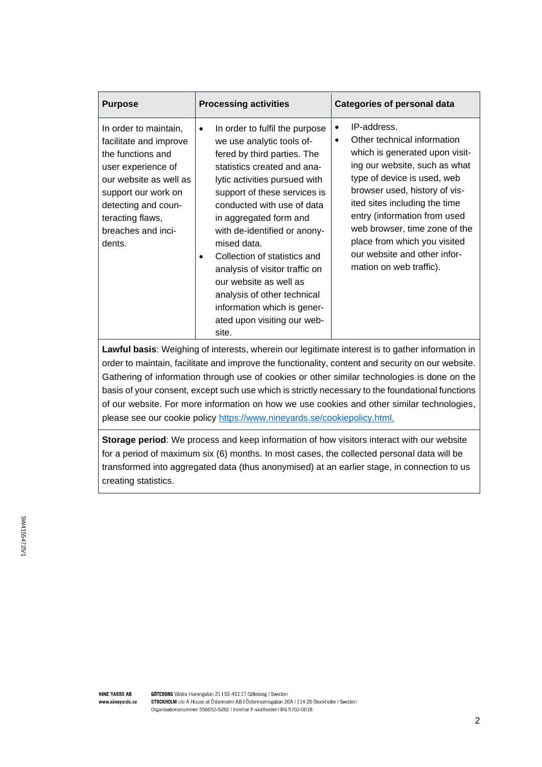| <b>Purpose</b>                                                                                                                                                                                                         | <b>Processing activities</b>                                                                                                                                                                                                                                                                                                                                                                                                                                                                                     | <b>Categories of personal data</b>                                                                                                                                                                                                                                                                                                                                                                   |
|------------------------------------------------------------------------------------------------------------------------------------------------------------------------------------------------------------------------|------------------------------------------------------------------------------------------------------------------------------------------------------------------------------------------------------------------------------------------------------------------------------------------------------------------------------------------------------------------------------------------------------------------------------------------------------------------------------------------------------------------|------------------------------------------------------------------------------------------------------------------------------------------------------------------------------------------------------------------------------------------------------------------------------------------------------------------------------------------------------------------------------------------------------|
| In order to maintain,<br>facilitate and improve<br>the functions and<br>user experience of<br>our website as well as<br>support our work on<br>detecting and coun-<br>teracting flaws,<br>breaches and inci-<br>dents. | In order to fulfil the purpose<br>$\bullet$<br>we use analytic tools of-<br>fered by third parties. The<br>statistics created and ana-<br>lytic activities pursued with<br>support of these services is<br>conducted with use of data<br>in aggregated form and<br>with de-identified or anony-<br>mised data.<br>Collection of statistics and<br>analysis of visitor traffic on<br>our website as well as<br>analysis of other technical<br>information which is gener-<br>ated upon visiting our web-<br>site. | IP-address.<br>$\bullet$<br>Other technical information<br>$\bullet$<br>which is generated upon visit-<br>ing our website, such as what<br>type of device is used, web<br>browser used, history of vis-<br>ited sites including the time<br>entry (information from used<br>web browser, time zone of the<br>place from which you visited<br>our website and other infor-<br>mation on web traffic). |

**Lawful basis**: Weighing of interests, wherein our legitimate interest is to gather information in order to maintain, facilitate and improve the functionality, content and security on our website. Gathering of information through use of cookies or other similar technologies is done on the basis of your consent, except such use which is strictly necessary to the foundational functions of our website. For more information on how we use cookies and other similar technologies, please see our cookie policy [https://www.nineyards.se/cookiepolicy.html.](https://www.nineyards.se/cookiepolicy.html)

**Storage period**: We process and keep information of how visitors interact with our website for a period of maximum six (6) months. In most cases, the collected personal data will be transformed into aggregated data (thus anonymised) at an earlier stage, in connection to us creating statistics.

GÖTEBORG Västra Hamngatan 21 | SE-411 17 Göteborg | Sweden STOCKHOLM c/o A House at Östermalm AB I Östermalmsgatan 26A I 114 26 Stockholm I Sweden Organisationsnummer 556652-5282 | Innehar F-skattsedel | BG 5702-0018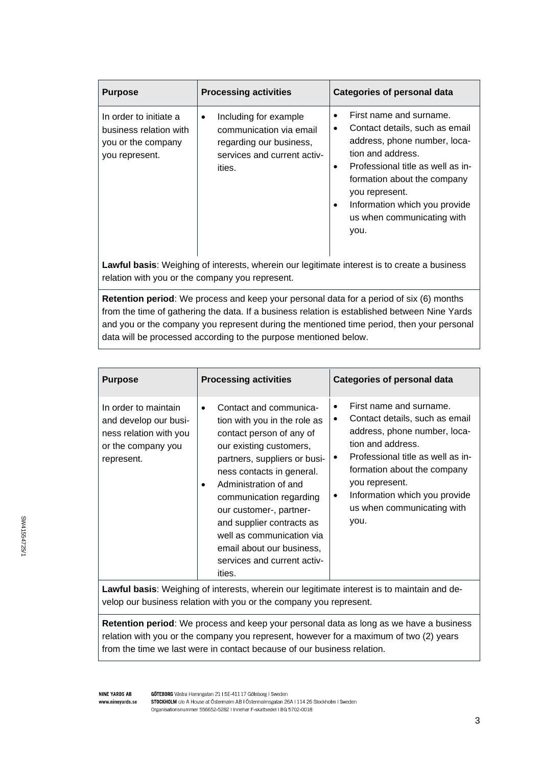| <b>Purpose</b>                                                                           | <b>Processing activities</b>                                                                                              | <b>Categories of personal data</b>                                                                                                                                                                                                                                                                 |
|------------------------------------------------------------------------------------------|---------------------------------------------------------------------------------------------------------------------------|----------------------------------------------------------------------------------------------------------------------------------------------------------------------------------------------------------------------------------------------------------------------------------------------------|
| In order to initiate a<br>business relation with<br>you or the company<br>you represent. | Including for example<br>٠<br>communication via email<br>regarding our business,<br>services and current activ-<br>ities. | First name and surname.<br>Contact details, such as email<br>٠<br>address, phone number, loca-<br>tion and address.<br>Professional title as well as in-<br>$\bullet$<br>formation about the company<br>you represent.<br>Information which you provide<br>٠<br>us when communicating with<br>you. |

**Lawful basis**: Weighing of interests, wherein our legitimate interest is to create a business relation with you or the company you represent.

**Retention period**: We process and keep your personal data for a period of six (6) months from the time of gathering the data. If a business relation is established between Nine Yards and you or the company you represent during the mentioned time period, then your personal data will be processed according to the purpose mentioned below.

| <b>Purpose</b>                                                                                              | <b>Processing activities</b>                                                                                                                                                                                                                                                                                                                                                                   | <b>Categories of personal data</b>                                                                                                                                                                                                                                          |
|-------------------------------------------------------------------------------------------------------------|------------------------------------------------------------------------------------------------------------------------------------------------------------------------------------------------------------------------------------------------------------------------------------------------------------------------------------------------------------------------------------------------|-----------------------------------------------------------------------------------------------------------------------------------------------------------------------------------------------------------------------------------------------------------------------------|
| In order to maintain<br>and develop our busi-<br>ness relation with you<br>or the company you<br>represent. | Contact and communica-<br>٠<br>tion with you in the role as<br>contact person of any of<br>our existing customers,<br>partners, suppliers or busi-<br>ness contacts in general.<br>Administration of and<br>communication regarding<br>our customer-, partner-<br>and supplier contracts as<br>well as communication via<br>email about our business,<br>services and current activ-<br>ities. | First name and surname.<br>Contact details, such as email<br>address, phone number, loca-<br>tion and address.<br>Professional title as well as in-<br>formation about the company<br>you represent.<br>Information which you provide<br>us when communicating with<br>you. |

**Lawful basis**: Weighing of interests, wherein our legitimate interest is to maintain and develop our business relation with you or the company you represent.

**Retention period**: We process and keep your personal data as long as we have a business relation with you or the company you represent, however for a maximum of two (2) years from the time we last were in contact because of our business relation.

**NINE YARDS AB** www.ninevards.se GÖTEBORG Västra Hamngatan 21 | SE-411 17 Göteborg | Sweden STOCKHOLM c/o A House at Östermalm AB I Östermalmsgatan 26A I 114 26 Stockholm I Sweden Organisationsnummer 556652-5282 | Innehar F-skattsedel | BG 5702-0018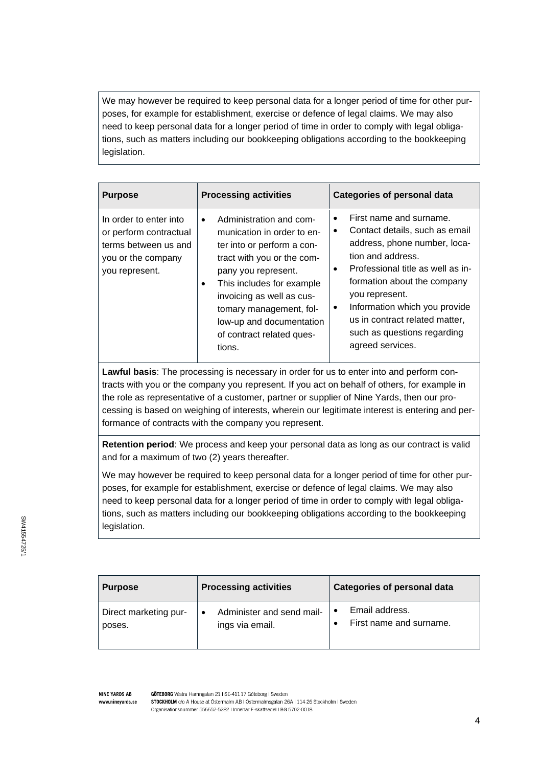We may however be required to keep personal data for a longer period of time for other purposes, for example for establishment, exercise or defence of legal claims. We may also need to keep personal data for a longer period of time in order to comply with legal obligations, such as matters including our bookkeeping obligations according to the bookkeeping legislation.

| <b>Purpose</b>                                                                                                   | <b>Processing activities</b>                                                                                                                                                                                                                                                                                               | <b>Categories of personal data</b>                                                                                                                                                                                                                                                                                                           |
|------------------------------------------------------------------------------------------------------------------|----------------------------------------------------------------------------------------------------------------------------------------------------------------------------------------------------------------------------------------------------------------------------------------------------------------------------|----------------------------------------------------------------------------------------------------------------------------------------------------------------------------------------------------------------------------------------------------------------------------------------------------------------------------------------------|
| In order to enter into<br>or perform contractual<br>terms between us and<br>you or the company<br>you represent. | Administration and com-<br>$\bullet$<br>munication in order to en-<br>ter into or perform a con-<br>tract with you or the com-<br>pany you represent.<br>This includes for example<br>$\bullet$<br>invoicing as well as cus-<br>tomary management, fol-<br>low-up and documentation<br>of contract related ques-<br>tions. | First name and surname.<br>Contact details, such as email<br>address, phone number, loca-<br>tion and address.<br>Professional title as well as in-<br>$\bullet$<br>formation about the company<br>you represent.<br>Information which you provide<br>٠<br>us in contract related matter,<br>such as questions regarding<br>agreed services. |

**Lawful basis**: The processing is necessary in order for us to enter into and perform contracts with you or the company you represent. If you act on behalf of others, for example in the role as representative of a customer, partner or supplier of Nine Yards, then our processing is based on weighing of interests, wherein our legitimate interest is entering and performance of contracts with the company you represent.

**Retention period**: We process and keep your personal data as long as our contract is valid and for a maximum of two (2) years thereafter.

We may however be required to keep personal data for a longer period of time for other purposes, for example for establishment, exercise or defence of legal claims. We may also need to keep personal data for a longer period of time in order to comply with legal obligations, such as matters including our bookkeeping obligations according to the bookkeeping legislation.

| <b>Purpose</b>        | <b>Processing activities</b> | <b>Categories of personal data</b> |
|-----------------------|------------------------------|------------------------------------|
| Direct marketing pur- | Administer and send mail-    | Email address.                     |
| poses.                | ings via email.              | First name and surname.            |

**NINE YARDS AB** GÖTEBORG Västra Hamngatan 21 | SE-411 17 Göteborg | Sweden STOCKHOLM c/o A House at Östermalm AB | Östermalmsgatan 26A | 114 26 Stockholm | Sweden www.ninevards.se Organisationsnummer 556652-5282 | Innehar F-skattsedel | BG 5702-0018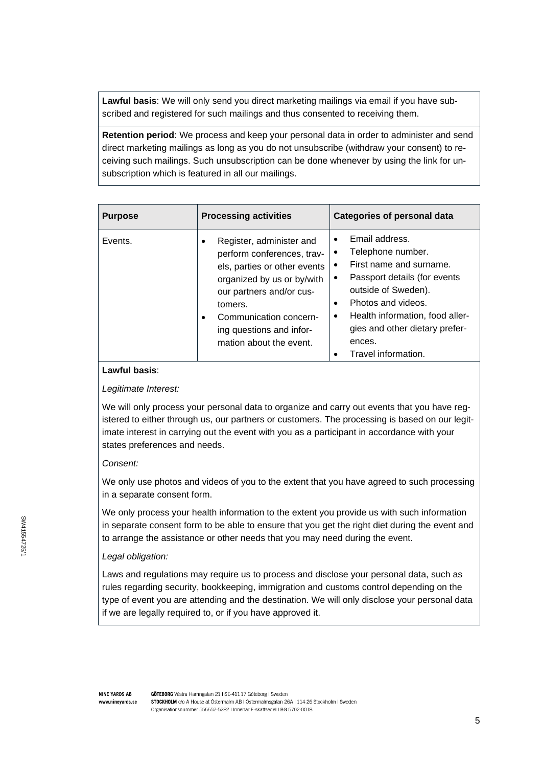**Lawful basis**: We will only send you direct marketing mailings via email if you have subscribed and registered for such mailings and thus consented to receiving them.

**Retention period**: We process and keep your personal data in order to administer and send direct marketing mailings as long as you do not unsubscribe (withdraw your consent) to receiving such mailings. Such unsubscription can be done whenever by using the link for unsubscription which is featured in all our mailings.

| <b>Purpose</b> | <b>Processing activities</b>                                                                                                                                                                                                                                   | <b>Categories of personal data</b>                                                                                                                                                                                                                                                       |
|----------------|----------------------------------------------------------------------------------------------------------------------------------------------------------------------------------------------------------------------------------------------------------------|------------------------------------------------------------------------------------------------------------------------------------------------------------------------------------------------------------------------------------------------------------------------------------------|
| Events.        | Register, administer and<br>٠<br>perform conferences, trav-<br>els, parties or other events<br>organized by us or by/with<br>our partners and/or cus-<br>tomers.<br>Communication concern-<br>$\bullet$<br>ing questions and infor-<br>mation about the event. | Email address.<br>$\bullet$<br>Telephone number.<br>First name and surname.<br>Passport details (for events<br>outside of Sweden).<br>Photos and videos.<br>$\bullet$<br>Health information, food aller-<br>$\bullet$<br>gies and other dietary prefer-<br>ences.<br>Travel information. |

#### **Lawful basis**:

#### *Legitimate Interest:*

We will only process your personal data to organize and carry out events that you have registered to either through us, our partners or customers. The processing is based on our legitimate interest in carrying out the event with you as a participant in accordance with your states preferences and needs.

#### *Consent:*

We only use photos and videos of you to the extent that you have agreed to such processing in a separate consent form.

We only process your health information to the extent you provide us with such information in separate consent form to be able to ensure that you get the right diet during the event and to arrange the assistance or other needs that you may need during the event.

#### *Legal obligation:*

Laws and regulations may require us to process and disclose your personal data, such as rules regarding security, bookkeeping, immigration and customs control depending on the type of event you are attending and the destination. We will only disclose your personal data if we are legally required to, or if you have approved it.

SW41554725/1

SW41554725/

GÖTEBORG Västra Hamngatan 21 | SE-411 17 Göteborg | Sweden STOCKHOLM C/o A House at Östermalm AB | Östermalmsgatan 26A | 114 26 Stockholm | Sweden Organisationsnummer 556652-5282 | Innehar F-skattsedel | BG 5702-0018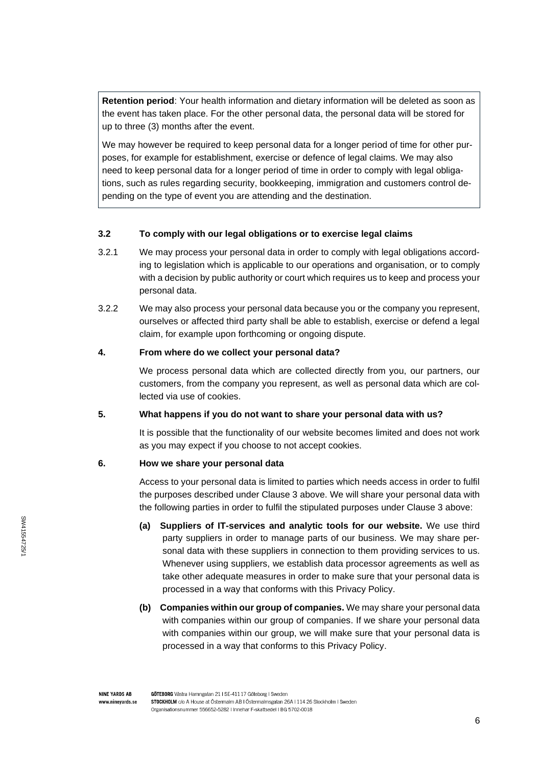**Retention period**: Your health information and dietary information will be deleted as soon as the event has taken place. For the other personal data, the personal data will be stored for up to three (3) months after the event.

We may however be required to keep personal data for a longer period of time for other purposes, for example for establishment, exercise or defence of legal claims. We may also need to keep personal data for a longer period of time in order to comply with legal obligations, such as rules regarding security, bookkeeping, immigration and customers control depending on the type of event you are attending and the destination.

### **3.2 To comply with our legal obligations or to exercise legal claims**

- 3.2.1 We may process your personal data in order to comply with legal obligations according to legislation which is applicable to our operations and organisation, or to comply with a decision by public authority or court which requires us to keep and process your personal data.
- 3.2.2 We may also process your personal data because you or the company you represent, ourselves or affected third party shall be able to establish, exercise or defend a legal claim, for example upon forthcoming or ongoing dispute.

#### **4. From where do we collect your personal data?**

We process personal data which are collected directly from you, our partners, our customers, from the company you represent, as well as personal data which are collected via use of cookies.

### **5. What happens if you do not want to share your personal data with us?**

It is possible that the functionality of our website becomes limited and does not work as you may expect if you choose to not accept cookies.

#### **6. How we share your personal data**

Access to your personal data is limited to parties which needs access in order to fulfil the purposes described under Clause 3 above. We will share your personal data with the following parties in order to fulfil the stipulated purposes under Clause 3 above:

- **(a) Suppliers of IT-services and analytic tools for our website.** We use third party suppliers in order to manage parts of our business. We may share personal data with these suppliers in connection to them providing services to us. Whenever using suppliers, we establish data processor agreements as well as take other adequate measures in order to make sure that your personal data is processed in a way that conforms with this Privacy Policy.
- **(b) Companies within our group of companies.** We may share your personal data with companies within our group of companies. If we share your personal data with companies within our group, we will make sure that your personal data is processed in a way that conforms to this Privacy Policy.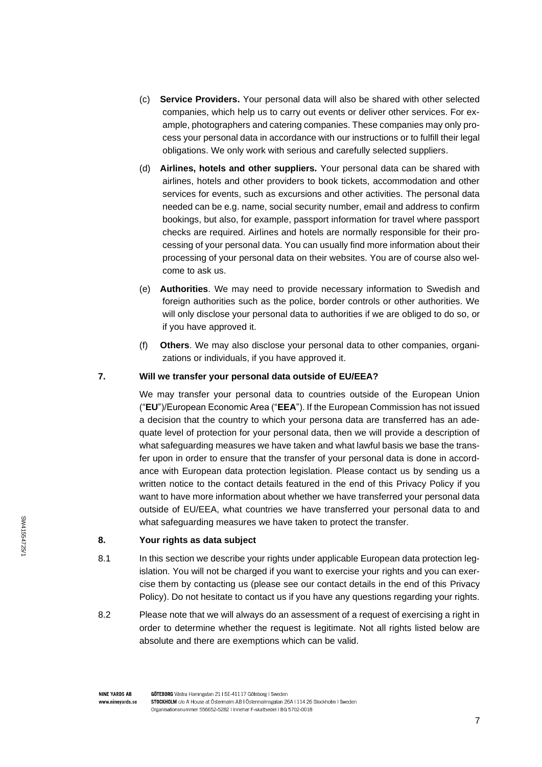- (c) **Service Providers.** Your personal data will also be shared with other selected companies, which help us to carry out events or deliver other services. For example, photographers and catering companies. These companies may only process your personal data in accordance with our instructions or to fulfill their legal obligations. We only work with serious and carefully selected suppliers.
- (d) **Airlines, hotels and other suppliers.** Your personal data can be shared with airlines, hotels and other providers to book tickets, accommodation and other services for events, such as excursions and other activities. The personal data needed can be e.g. name, social security number, email and address to confirm bookings, but also, for example, passport information for travel where passport checks are required. Airlines and hotels are normally responsible for their processing of your personal data. You can usually find more information about their processing of your personal data on their websites. You are of course also welcome to ask us.
- (e) **Authorities**. We may need to provide necessary information to Swedish and foreign authorities such as the police, border controls or other authorities. We will only disclose your personal data to authorities if we are obliged to do so, or if you have approved it.
- (f) **Others**. We may also disclose your personal data to other companies, organizations or individuals, if you have approved it.

### **7. Will we transfer your personal data outside of EU/EEA?**

We may transfer your personal data to countries outside of the European Union ("**EU**")/European Economic Area ("**EEA**"). If the European Commission has not issued a decision that the country to which your persona data are transferred has an adequate level of protection for your personal data, then we will provide a description of what safeguarding measures we have taken and what lawful basis we base the transfer upon in order to ensure that the transfer of your personal data is done in accordance with European data protection legislation. Please contact us by sending us a written notice to the contact details featured in the end of this Privacy Policy if you want to have more information about whether we have transferred your personal data outside of EU/EEA, what countries we have transferred your personal data to and what safeguarding measures we have taken to protect the transfer.

### **8. Your rights as data subject**

- 8.1 In this section we describe your rights under applicable European data protection legislation. You will not be charged if you want to exercise your rights and you can exercise them by contacting us (please see our contact details in the end of this Privacy Policy). Do not hesitate to contact us if you have any questions regarding your rights.
- 8.2 Please note that we will always do an assessment of a request of exercising a right in order to determine whether the request is legitimate. Not all rights listed below are absolute and there are exemptions which can be valid.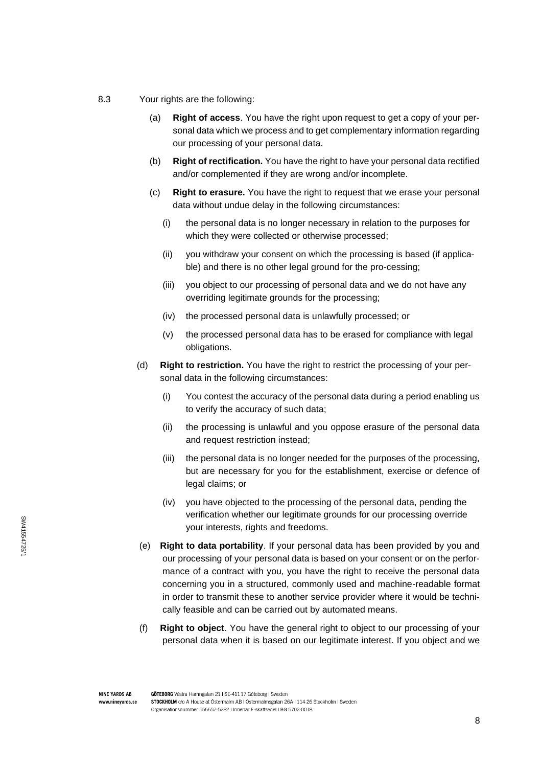- 8.3 Your rights are the following:
	- (a) **Right of access**. You have the right upon request to get a copy of your personal data which we process and to get complementary information regarding our processing of your personal data.
	- (b) **Right of rectification.** You have the right to have your personal data rectified and/or complemented if they are wrong and/or incomplete.
	- (c) **Right to erasure.** You have the right to request that we erase your personal data without undue delay in the following circumstances:
		- (i) the personal data is no longer necessary in relation to the purposes for which they were collected or otherwise processed;
		- (ii) you withdraw your consent on which the processing is based (if applicable) and there is no other legal ground for the pro-cessing;
		- (iii) you object to our processing of personal data and we do not have any overriding legitimate grounds for the processing;
		- (iv) the processed personal data is unlawfully processed; or
		- (v) the processed personal data has to be erased for compliance with legal obligations.
	- (d) **Right to restriction.** You have the right to restrict the processing of your personal data in the following circumstances:
		- (i) You contest the accuracy of the personal data during a period enabling us to verify the accuracy of such data;
		- (ii) the processing is unlawful and you oppose erasure of the personal data and request restriction instead;
		- (iii) the personal data is no longer needed for the purposes of the processing, but are necessary for you for the establishment, exercise or defence of legal claims; or
		- (iv) you have objected to the processing of the personal data, pending the verification whether our legitimate grounds for our processing override your interests, rights and freedoms.
	- (e) **Right to data portability**. If your personal data has been provided by you and our processing of your personal data is based on your consent or on the performance of a contract with you, you have the right to receive the personal data concerning you in a structured, commonly used and machine-readable format in order to transmit these to another service provider where it would be technically feasible and can be carried out by automated means.
	- (f) **Right to object**. You have the general right to object to our processing of your personal data when it is based on our legitimate interest. If you object and we